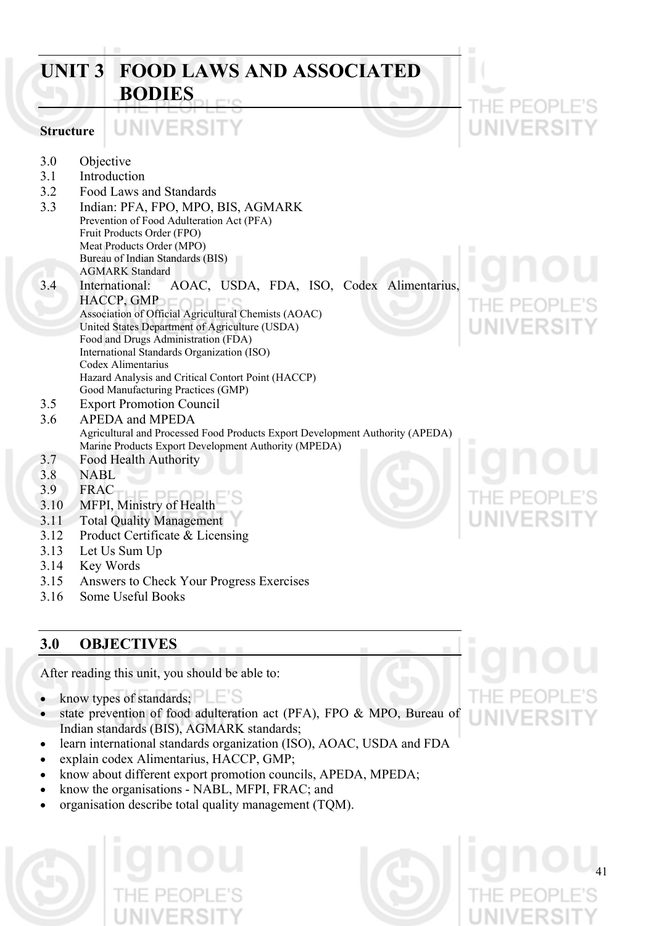### **UNIT 3 FOOD LAWS AND ASSOCIATED BODIES**   $PIF($ JNIVERSI1 VERSI **Structure**  3.0 Objective 3.1 Introduction 3.2 Food Laws and Standards 3.3 Indian: PFA, FPO, MPO, BIS, AGMARK Prevention of Food Adulteration Act (PFA) Fruit Products Order (FPO) Meat Products Order (MPO) Bureau of Indian Standards (BIS) AGMARK Standard 3.4 International: AOAC, USDA, FDA, ISO, Codex Alimentarius, HACCP, GMP Association of Official Agricultural Chemists (AOAC) United States Department of Agriculture (USDA) Food and Drugs Administration (FDA) International Standards Organization (ISO) Codex Alimentarius Hazard Analysis and Critical Contort Point (HACCP) Good Manufacturing Practices (GMP) 3.5 Export Promotion Council 3.6 APEDA and MPEDA Agricultural and Processed Food Products Export Development Authority (APEDA) Marine Products Export Development Authority (MPEDA) 3.7 Food Health Authority 3.8 NABL 3.9 FRAC 3.10 MFPI, Ministry of Health 3.11 Total Quality Management 3.12 Product Certificate & Licensing 3.13 Let Us Sum Up 3.14 Key Words 3.15 Answers to Check Your Progress Exercises

3.16 Some Useful Books

### **3.0 OBJECTIVES**

After reading this unit, you should be able to:

- know types of standards;
- state prevention of food adulteration act (PFA), FPO & MPO, Bureau of Indian standards (BIS), AGMARK standards;
- learn international standards organization (ISO), AOAC, USDA and FDA
- explain codex Alimentarius, HACCP, GMP;
- know about different export promotion councils, APEDA, MPEDA;
- know the organisations NABL, MFPI, FRAC; and
- organisation describe total quality management (TQM).

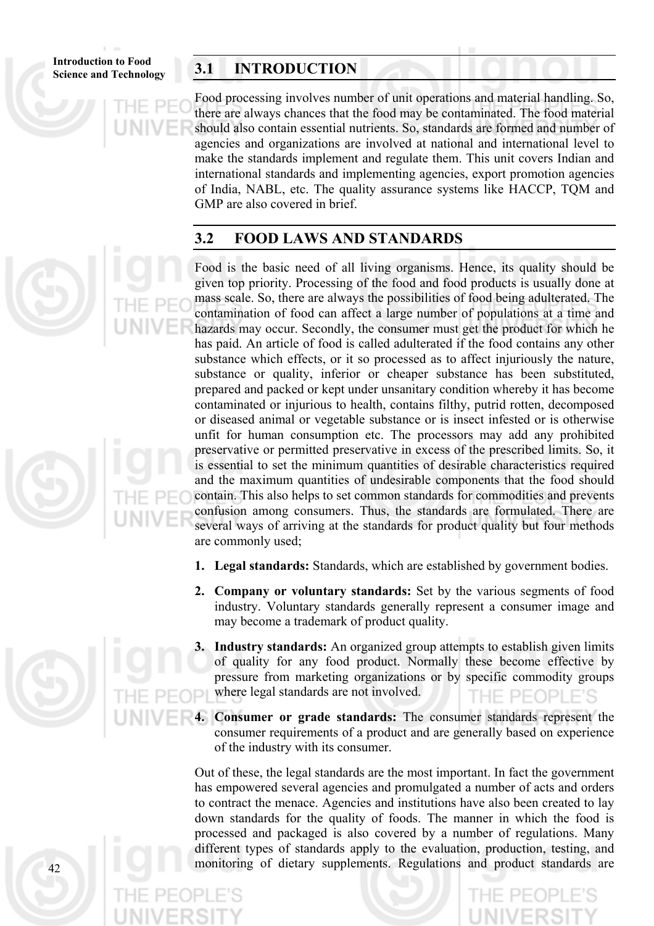**Introduction to Food** 

### **Science and Technology 3.1 INTRODUCTION**

Food processing involves number of unit operations and material handling. So, there are always chances that the food may be contaminated. The food material should also contain essential nutrients. So, standards are formed and number of agencies and organizations are involved at national and international level to make the standards implement and regulate them. This unit covers Indian and international standards and implementing agencies, export promotion agencies of India, NABL, etc. The quality assurance systems like HACCP, TQM and GMP are also covered in brief.

### **3.2 FOOD LAWS AND STANDARDS**

Food is the basic need of all living organisms. Hence, its quality should be given top priority. Processing of the food and food products is usually done at mass scale. So, there are always the possibilities of food being adulterated. The contamination of food can affect a large number of populations at a time and hazards may occur. Secondly, the consumer must get the product for which he has paid. An article of food is called adulterated if the food contains any other substance which effects, or it so processed as to affect injuriously the nature, substance or quality, inferior or cheaper substance has been substituted, prepared and packed or kept under unsanitary condition whereby it has become contaminated or injurious to health, contains filthy, putrid rotten, decomposed or diseased animal or vegetable substance or is insect infested or is otherwise unfit for human consumption etc. The processors may add any prohibited preservative or permitted preservative in excess of the prescribed limits. So, it is essential to set the minimum quantities of desirable characteristics required and the maximum quantities of undesirable components that the food should contain. This also helps to set common standards for commodities and prevents confusion among consumers. Thus, the standards are formulated. There are several ways of arriving at the standards for product quality but four methods are commonly used;

- **1. Legal standards:** Standards, which are established by government bodies.
- **2. Company or voluntary standards:** Set by the various segments of food industry. Voluntary standards generally represent a consumer image and may become a trademark of product quality.
- **3. Industry standards:** An organized group attempts to establish given limits of quality for any food product. Normally these become effective by pressure from marketing organizations or by specific commodity groups where legal standards are not involved.
- **4. Consumer or grade standards:** The consumer standards represent the consumer requirements of a product and are generally based on experience of the industry with its consumer.

Out of these, the legal standards are the most important. In fact the government has empowered several agencies and promulgated a number of acts and orders to contract the menace. Agencies and institutions have also been created to lay down standards for the quality of foods. The manner in which the food is processed and packaged is also covered by a number of regulations. Many different types of standards apply to the evaluation, production, testing, and monitoring of dietary supplements. Regulations and product standards are

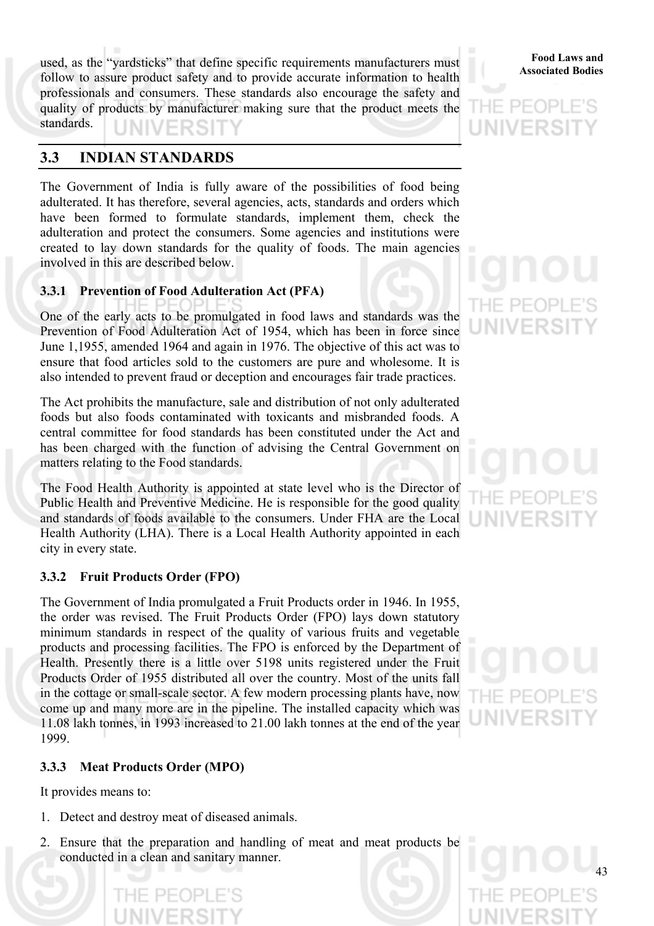used, as the "yardsticks" that define specific requirements manufacturers must<br>Associated Bodies follow to assure product safety and to provide accurate information to health professionals and consumers. These standards also encourage the safety and quality of products by manufacturer making sure that the product meets the standards. NIV

### **3.3 INDIAN STANDARDS**

The Government of India is fully aware of the possibilities of food being adulterated. It has therefore, several agencies, acts, standards and orders which have been formed to formulate standards, implement them, check the adulteration and protect the consumers. Some agencies and institutions were created to lay down standards for the quality of foods. The main agencies involved in this are described below.

### **3.3.1 Prevention of Food Adulteration Act (PFA)**

One of the early acts to be promulgated in food laws and standards was the Prevention of Food Adulteration Act of 1954, which has been in force since June 1,1955, amended 1964 and again in 1976. The objective of this act was to ensure that food articles sold to the customers are pure and wholesome. It is also intended to prevent fraud or deception and encourages fair trade practices.

The Act prohibits the manufacture, sale and distribution of not only adulterated foods but also foods contaminated with toxicants and misbranded foods. A central committee for food standards has been constituted under the Act and has been charged with the function of advising the Central Government on matters relating to the Food standards.

The Food Health Authority is appointed at state level who is the Director of Public Health and Preventive Medicine. He is responsible for the good quality and standards of foods available to the consumers. Under FHA are the Local Health Authority (LHA). There is a Local Health Authority appointed in each city in every state.

### **3.3.2 Fruit Products Order (FPO)**

The Government of India promulgated a Fruit Products order in 1946. In 1955, the order was revised. The Fruit Products Order (FPO) lays down statutory minimum standards in respect of the quality of various fruits and vegetable products and processing facilities. The FPO is enforced by the Department of Health. Presently there is a little over 5198 units registered under the Fruit Products Order of 1955 distributed all over the country. Most of the units fall in the cottage or small-scale sector. A few modern processing plants have, now come up and many more are in the pipeline. The installed capacity which was 11.08 lakh tonnes, in 1993 increased to 21.00 lakh tonnes at the end of the year 1999.

### **3.3.3 Meat Products Order (MPO)**

It provides means to:

- 1. Detect and destroy meat of diseased animals.
- 2. Ensure that the preparation and handling of meat and meat products be conducted in a clean and sanitary manner.

### **Food Laws and**

### $PIF($ UNIVERSI

# THE PE(

HF PF(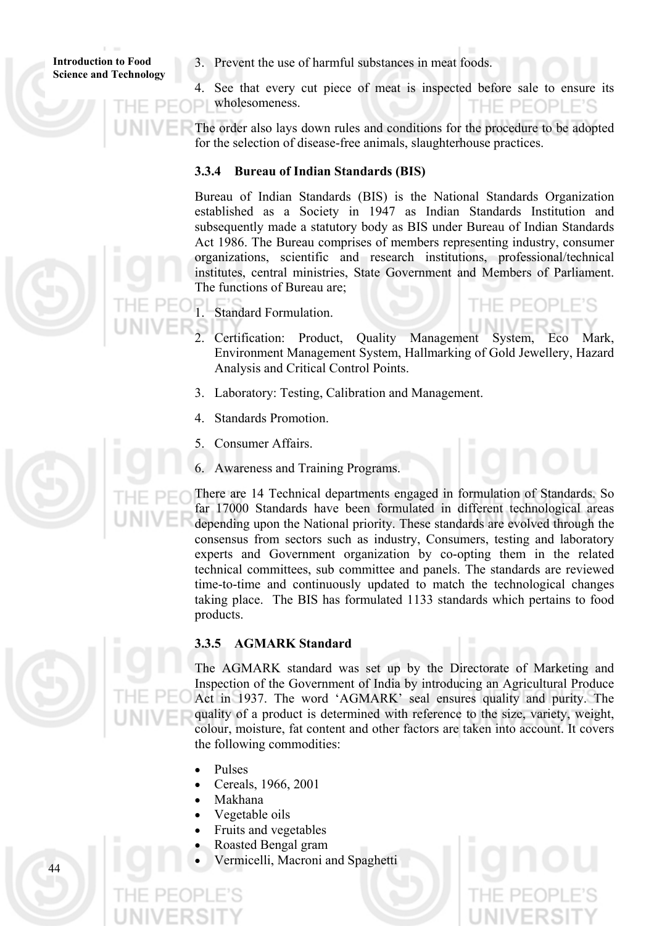3. Prevent the use of harmful substances in meat foods.

4. See that every cut piece of meat is inspected before sale to ensure its wholesomeness. HE PEOPLE'S

The order also lays down rules and conditions for the procedure to be adopted for the selection of disease-free animals, slaughterhouse practices.

### **3.3.4 Bureau of Indian Standards (BIS)**

Bureau of Indian Standards (BIS) is the National Standards Organization established as a Society in 1947 as Indian Standards Institution and subsequently made a statutory body as BIS under Bureau of Indian Standards Act 1986. The Bureau comprises of members representing industry, consumer organizations, scientific and research institutions, professional/technical institutes, central ministries, State Government and Members of Parliament. The functions of Bureau are;

- 1. Standard Formulation.
	- 2. Certification: Product, Quality Management System, Eco Mark, Environment Management System, Hallmarking of Gold Jewellery, Hazard Analysis and Critical Control Points.
- 3. Laboratory: Testing, Calibration and Management.
- 4. Standards Promotion.
- 5. Consumer Affairs.
- 6. Awareness and Training Programs.

There are 14 Technical departments engaged in formulation of Standards. So far 17000 Standards have been formulated in different technological areas depending upon the National priority. These standards are evolved through the consensus from sectors such as industry, Consumers, testing and laboratory experts and Government organization by co-opting them in the related technical committees, sub committee and panels. The standards are reviewed time-to-time and continuously updated to match the technological changes taking place. The BIS has formulated 1133 standards which pertains to food products.

### **3.3.5 AGMARK Standard**

The AGMARK standard was set up by the Directorate of Marketing and Inspection of the Government of India by introducing an Agricultural Produce Act in 1937. The word 'AGMARK' seal ensures quality and purity. The quality of a product is determined with reference to the size, variety, weight, colour, moisture, fat content and other factors are taken into account. It covers the following commodities:

- Pulses
- Cereals, 1966, 2001
- Makhana

- Vegetable oils
- Fruits and vegetables
- Roasted Bengal gram
- Vermicelli, Macroni and Spaghetti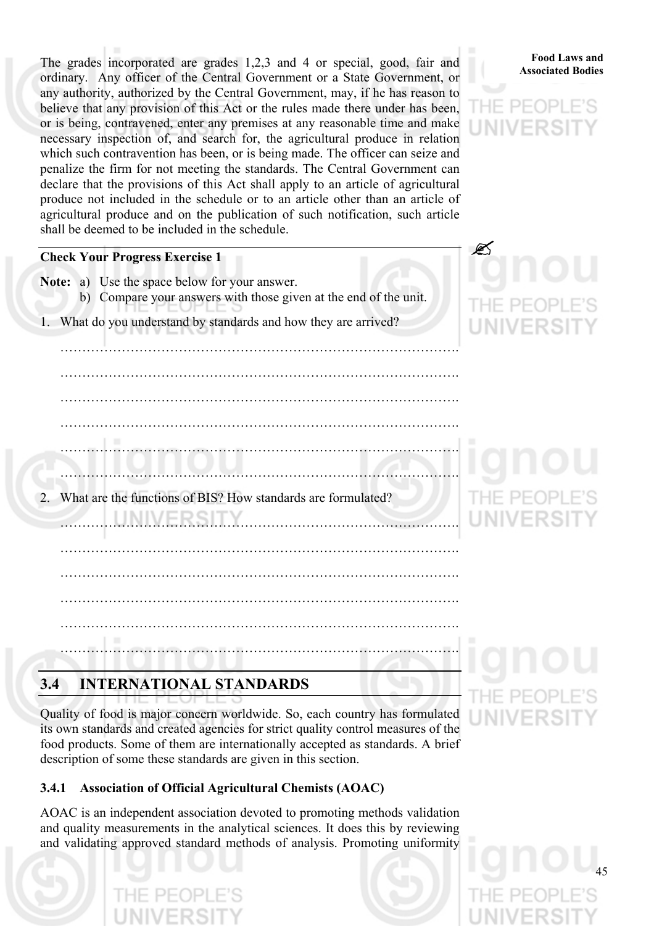The grades incorporated are grades 1,2,3 and 4 or special, good, fair and **Food Laws** and ordinary. Any officer of the Central Government or a State Government, or any authority, authorized by the Central Government, may, if he has reason to believe that any provision of this Act or the rules made there under has been, or is being, contravened, enter any premises at any reasonable time and make necessary inspection of, and search for, the agricultural produce in relation which such contravention has been, or is being made. The officer can seize and penalize the firm for not meeting the standards. The Central Government can declare that the provisions of this Act shall apply to an article of agricultural produce not included in the schedule or to an article other than an article of agricultural produce and on the publication of such notification, such article shall be deemed to be included in the schedule.

### **Food Laws and**

45

### **Check Your Progress Exercise 1**

**Note:** a) Use the space below for your answer. b) Compare your answers with those given at the end of the unit. 1. What do you understand by standards and how they are arrived? ………………………………………………………………………………. ………………………………………………………………………………. ………………………………………………………………………………. ………………………………………………………………………………. ………………………………………………………………………………. ………………………………………………………………………………. 2. What are the functions of BIS? How standards are formulated? ………………………………………………………………………………. ………………………………………………………………………………. ………………………………………………………………………………. ………………………………………………………………………………. ………………………………………………………………………………. ……………………………………………………………………………….

### **3.4 INTERNATIONAL STANDARDS**

Quality of food is major concern worldwide. So, each country has formulated its own standards and created agencies for strict quality control measures of the food products. Some of them are internationally accepted as standards. A brief description of some these standards are given in this section.

### **3.4.1 Association of Official Agricultural Chemists (AOAC)**

AOAC is an independent association devoted to promoting methods validation and quality measurements in the analytical sciences. It does this by reviewing and validating approved standard methods of analysis. Promoting uniformity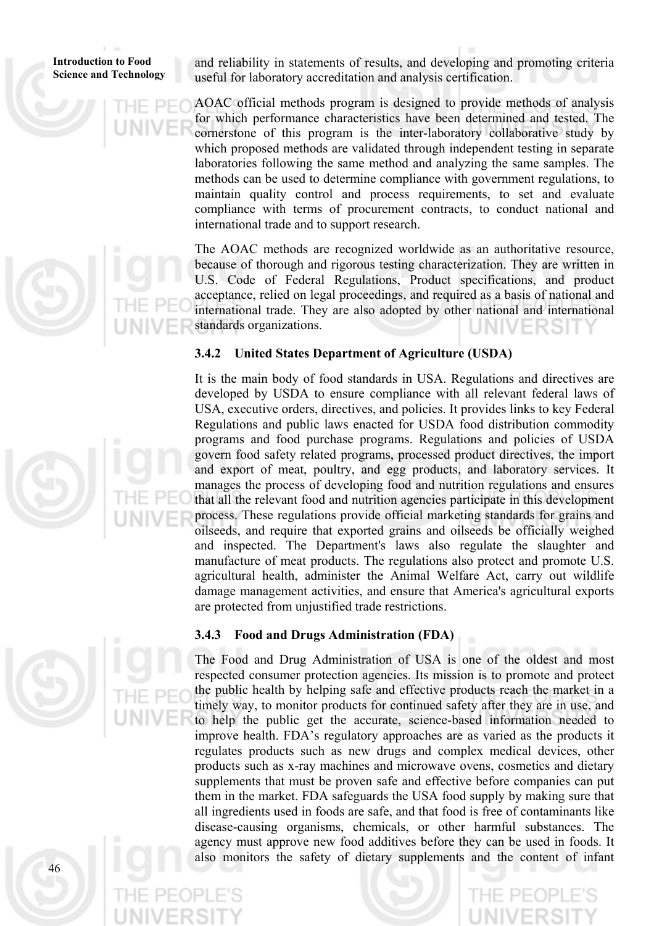and reliability in statements of results, and developing and promoting criteria useful for laboratory accreditation and analysis certification.

AOAC official methods program is designed to provide methods of analysis for which performance characteristics have been determined and tested. The cornerstone of this program is the inter-laboratory collaborative study by which proposed methods are validated through independent testing in separate laboratories following the same method and analyzing the same samples. The methods can be used to determine compliance with government regulations, to maintain quality control and process requirements, to set and evaluate compliance with terms of procurement contracts, to conduct national and international trade and to support research.

The AOAC methods are recognized worldwide as an authoritative resource, because of thorough and rigorous testing characterization. They are written in U.S. Code of Federal Regulations, Product specifications, and product acceptance, relied on legal proceedings, and required as a basis of national and international trade. They are also adopted by other national and international standards organizations.

### **3.4.2 United States Department of Agriculture (USDA)**

It is the main body of food standards in USA. Regulations and directives are developed by USDA to ensure compliance with all relevant federal laws of USA, executive orders, directives, and policies. It provides links to key Federal Regulations and public laws enacted for USDA food distribution commodity programs and food purchase programs. Regulations and policies of USDA govern food safety related programs, processed product directives, the import and export of meat, poultry, and egg products, and laboratory services. It manages the process of developing food and nutrition regulations and ensures that all the relevant food and nutrition agencies participate in this development process. These regulations provide official marketing standards for grains and oilseeds, and require that exported grains and oilseeds be officially weighed and inspected. The Department's laws also regulate the slaughter and manufacture of meat products. The regulations also protect and promote U.S. agricultural health, administer the Animal Welfare Act, carry out wildlife damage management activities, and ensure that America's agricultural exports are protected from unjustified trade restrictions.

### **3.4.3 Food and Drugs Administration (FDA)**

The Food and Drug Administration of USA is one of the oldest and most respected consumer protection agencies. Its mission is to promote and protect the public health by helping safe and effective products reach the market in a timely way, to monitor products for continued safety after they are in use, and to help the public get the accurate, science-based information needed to improve health. FDA's regulatory approaches are as varied as the products it regulates products such as new drugs and complex medical devices, other products such as x-ray machines and microwave ovens, cosmetics and dietary supplements that must be proven safe and effective before companies can put them in the market. FDA safeguards the USA food supply by making sure that all ingredients used in foods are safe, and that food is free of contaminants like disease-causing organisms, chemicals, or other harmful substances. The agency must approve new food additives before they can be used in foods. It also monitors the safety of dietary supplements and the content of infant

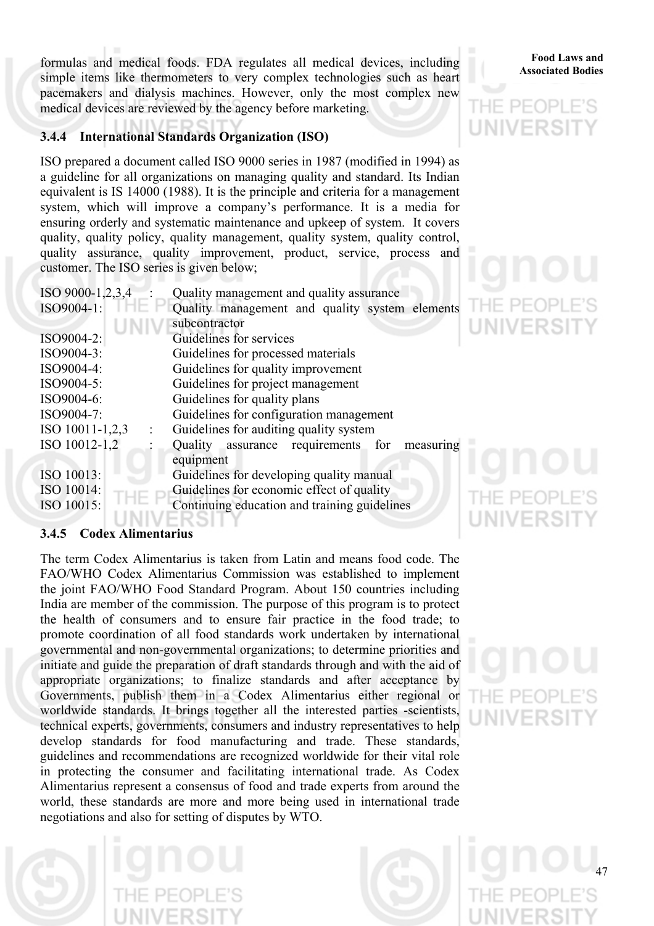**Associated Bodies** formulas and medical foods. FDA regulates all medical devices, including **Food Laws and** simple items like thermometers to very complex technologies such as heart pacemakers and dialysis machines. However, only the most complex new medical devices are reviewed by the agency before marketing.

### **3.4.4 International Standards Organization (ISO)**

ISO prepared a document called ISO 9000 series in 1987 (modified in 1994) as a guideline for all organizations on managing quality and standard. Its Indian equivalent is IS 14000 (1988). It is the principle and criteria for a management system, which will improve a company's performance. It is a media for ensuring orderly and systematic maintenance and upkeep of system. It covers quality, quality policy, quality management, quality system, quality control, quality assurance, quality improvement, product, service, process and customer. The ISO series is given below;

| ISO 9000-1,2,3,4 | Quality management and quality assurance        |  |  |
|------------------|-------------------------------------------------|--|--|
| ISO9004-1:       | Quality management and quality system elements  |  |  |
|                  | subcontractor                                   |  |  |
| ISO9004-2:       | Guidelines for services                         |  |  |
| ISO9004-3:       | Guidelines for processed materials              |  |  |
| ISO9004-4:       | Guidelines for quality improvement              |  |  |
| ISO9004-5:       | Guidelines for project management               |  |  |
| ISO9004-6:       | Guidelines for quality plans                    |  |  |
| ISO9004-7:       | Guidelines for configuration management         |  |  |
| ISO 10011-1,2,3  | Guidelines for auditing quality system          |  |  |
| ISO 10012-1,2    | Quality assurance requirements for<br>measuring |  |  |
|                  | equipment                                       |  |  |
| ISO 10013:       | Guidelines for developing quality manual        |  |  |
| ISO 10014:       | Guidelines for economic effect of quality       |  |  |
| ISO 10015:       | Continuing education and training guidelines    |  |  |
|                  |                                                 |  |  |

### **3.4.5 Codex Alimentarius**

The term Codex Alimentarius is taken from Latin and means food code. The FAO/WHO Codex Alimentarius Commission was established to implement the joint FAO/WHO Food Standard Program. About 150 countries including India are member of the commission. The purpose of this program is to protect the health of consumers and to ensure fair practice in the food trade; to promote coordination of all food standards work undertaken by international governmental and non-governmental organizations; to determine priorities and initiate and guide the preparation of draft standards through and with the aid of appropriate organizations; to finalize standards and after acceptance by Governments, publish them in a Codex Alimentarius either regional or worldwide standards. It brings together all the interested parties -scientists, technical experts, governments, consumers and industry representatives to help develop standards for food manufacturing and trade. These standards, guidelines and recommendations are recognized worldwide for their vital role in protecting the consumer and facilitating international trade. As Codex Alimentarius represent a consensus of food and trade experts from around the world, these standards are more and more being used in international trade negotiations and also for setting of disputes by WTO.

### **Food Laws and**

## VFRS

## $\vdash$  PF( **NIVERS**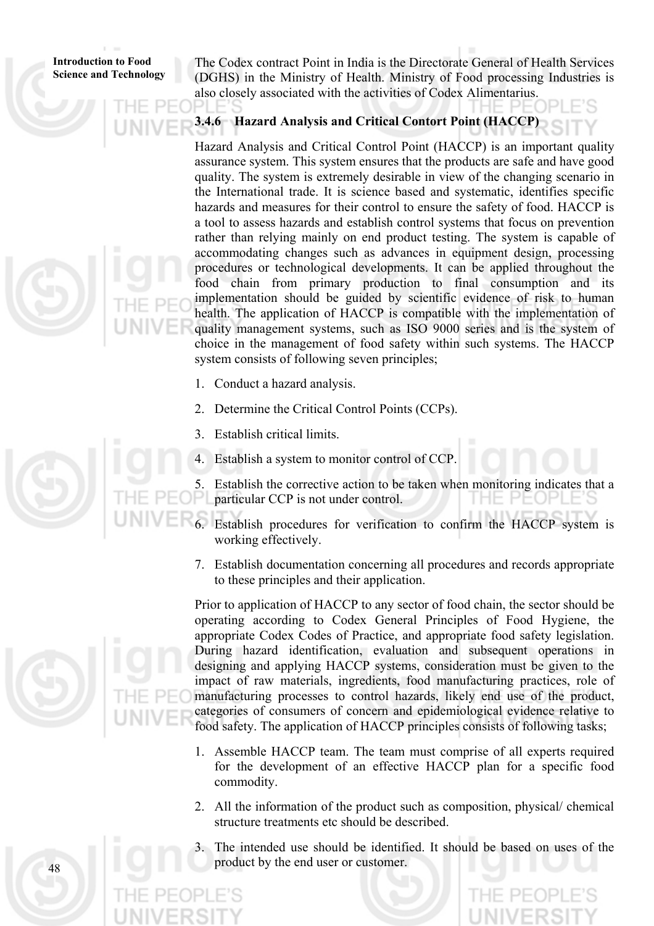The Codex contract Point in India is the Directorate General of Health Services (DGHS) in the Ministry of Health. Ministry of Food processing Industries is also closely associated with the activities of Codex Alimentarius.

**3.4.6 Hazard Analysis and Critical Contort Point (HACCP)** 

Hazard Analysis and Critical Control Point (HACCP) is an important quality assurance system. This system ensures that the products are safe and have good quality. The system is extremely desirable in view of the changing scenario in the International trade. It is science based and systematic, identifies specific hazards and measures for their control to ensure the safety of food. HACCP is a tool to assess hazards and establish control systems that focus on prevention rather than relying mainly on end product testing. The system is capable of accommodating changes such as advances in equipment design, processing procedures or technological developments. It can be applied throughout the food chain from primary production to final consumption and its implementation should be guided by scientific evidence of risk to human health. The application of HACCP is compatible with the implementation of quality management systems, such as ISO 9000 series and is the system of choice in the management of food safety within such systems. The HACCP system consists of following seven principles;

- 1. Conduct a hazard analysis.
- 2. Determine the Critical Control Points (CCPs).
- 3. Establish critical limits.
- 4. Establish a system to monitor control of CCP.

5. Establish the corrective action to be taken when monitoring indicates that a particular CCP is not under control.

- 6. Establish procedures for verification to confirm the HACCP system is working effectively.
- 7. Establish documentation concerning all procedures and records appropriate to these principles and their application.

Prior to application of HACCP to any sector of food chain, the sector should be operating according to Codex General Principles of Food Hygiene, the appropriate Codex Codes of Practice, and appropriate food safety legislation. During hazard identification, evaluation and subsequent operations in designing and applying HACCP systems, consideration must be given to the impact of raw materials, ingredients, food manufacturing practices, role of manufacturing processes to control hazards, likely end use of the product, categories of consumers of concern and epidemiological evidence relative to food safety. The application of HACCP principles consists of following tasks;

- 1. Assemble HACCP team. The team must comprise of all experts required for the development of an effective HACCP plan for a specific food commodity.
- 2. All the information of the product such as composition, physical/ chemical structure treatments etc should be described.
- The intended use should be identified. It should be based on uses of the product by the end user or customer.

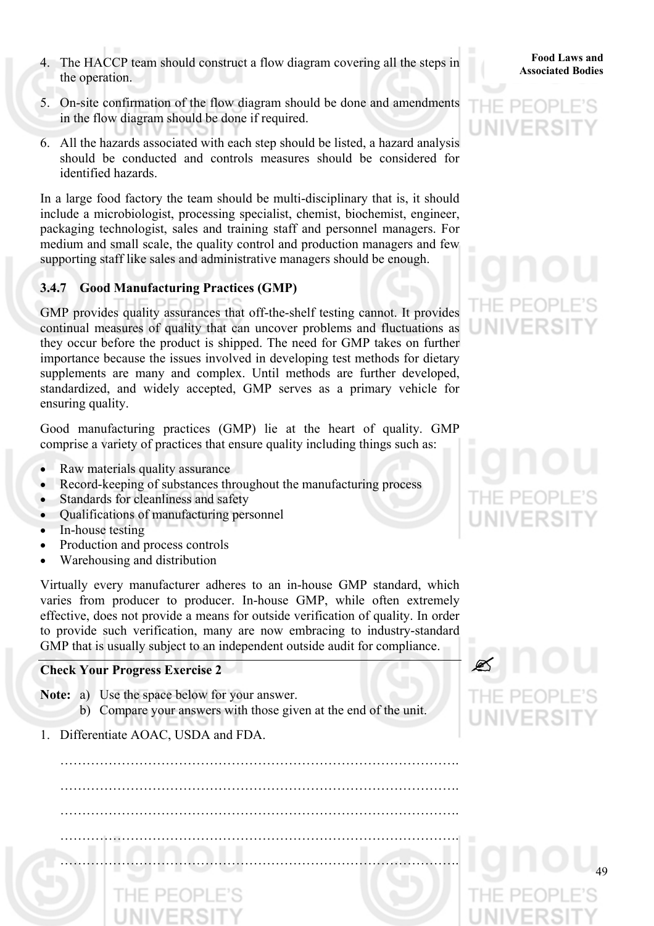- **Associated Bodies** 4. The HACCP team should construct a flow diagram covering all the steps in the operation.
- 5. On-site confirmation of the flow diagram should be done and amendments in the flow diagram should be done if required.
- 6. All the hazards associated with each step should be listed, a hazard analysis should be conducted and controls measures should be considered for identified hazards.

In a large food factory the team should be multi-disciplinary that is, it should include a microbiologist, processing specialist, chemist, biochemist, engineer, packaging technologist, sales and training staff and personnel managers. For medium and small scale, the quality control and production managers and few supporting staff like sales and administrative managers should be enough.

### **3.4.7 Good Manufacturing Practices (GMP)**

GMP provides quality assurances that off-the-shelf testing cannot. It provides continual measures of quality that can uncover problems and fluctuations as they occur before the product is shipped. The need for GMP takes on further importance because the issues involved in developing test methods for dietary supplements are many and complex. Until methods are further developed, standardized, and widely accepted, GMP serves as a primary vehicle for ensuring quality.

Good manufacturing practices (GMP) lie at the heart of quality. GMP comprise a variety of practices that ensure quality including things such as:

- Raw materials quality assurance
- Record-keeping of substances throughout the manufacturing process
- Standards for cleanliness and safety
- Qualifications of manufacturing personnel
- In-house testing
- Production and process controls
- Warehousing and distribution

Virtually every manufacturer adheres to an in-house GMP standard, which varies from producer to producer. In-house GMP, while often extremely effective, does not provide a means for outside verification of quality. In order to provide such verification, many are now embracing to industry-standard GMP that is usually subject to an independent outside audit for compliance.

### **Check Your Progress Exercise 2**

- **Note:** a) Use the space below for your answer. b) Compare your answers with those given at the end of the unit.
- 1. Differentiate AOAC, USDA and FDA.

 ………………………………………………………………………………. ………………………………………………………………………………. ………………………………………………………………………………. ………………………………………………………………………………. ……………………………………………………………………………….





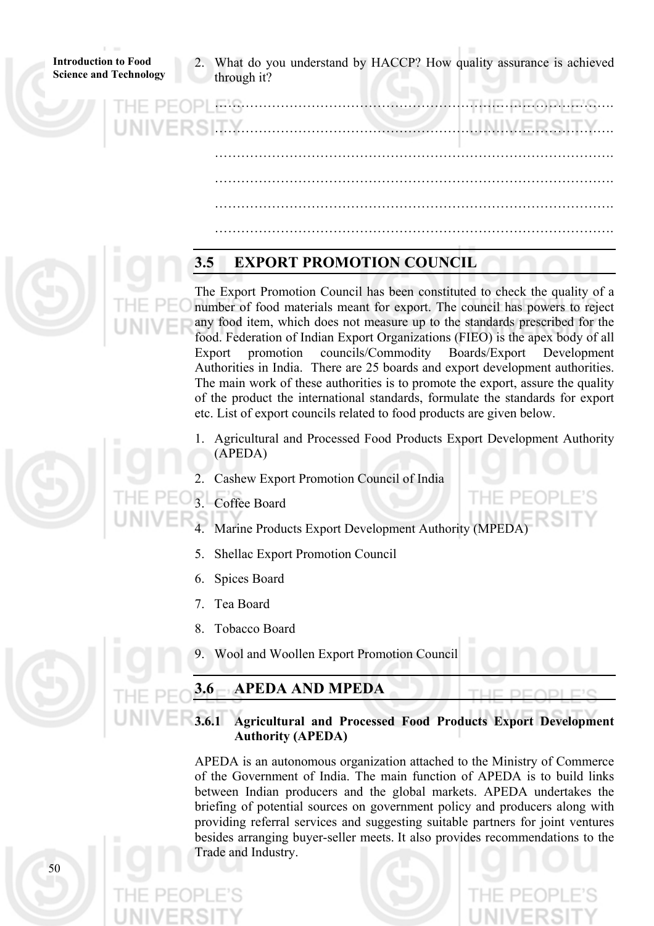What do you understand by HACCP? How quality assurance is achieved through it?

 ………………………………………………………………………………. ………………………………………………………………………………. ………………………………………………………………………………. ………………………………………………………………………………. ………………………………………………………………………………. ……………………………………………………………………………….

### **3.5 EXPORT PROMOTION COUNCIL**

The Export Promotion Council has been constituted to check the quality of a number of food materials meant for export. The council has powers to reject any food item, which does not measure up to the standards prescribed for the food. Federation of Indian Export Organizations (FIEO) is the apex body of all Export promotion councils/Commodity Boards/Export Development Authorities in India. There are 25 boards and export development authorities. The main work of these authorities is to promote the export, assure the quality of the product the international standards, formulate the standards for export etc. List of export councils related to food products are given below.

- 1. Agricultural and Processed Food Products Export Development Authority (APEDA)
	- 2. Cashew Export Promotion Council of India
- Coffee Board
- Marine Products Export Development Authority (MPEDA)
- 5. Shellac Export Promotion Council
- 6. Spices Board
- 7. Tea Board
- 8. Tobacco Board
- 9. Wool and Woollen Export Promotion Council

### **3.6 APEDA AND MPEDA**

**3.6.1 Agricultural and Processed Food Products Export Development Authority (APEDA)**

APEDA is an autonomous organization attached to the Ministry of Commerce of the Government of India. The main function of APEDA is to build links between Indian producers and the global markets. APEDA undertakes the briefing of potential sources on government policy and producers along with providing referral services and suggesting suitable partners for joint ventures besides arranging buyer-seller meets. It also provides recommendations to the Trade and Industry.



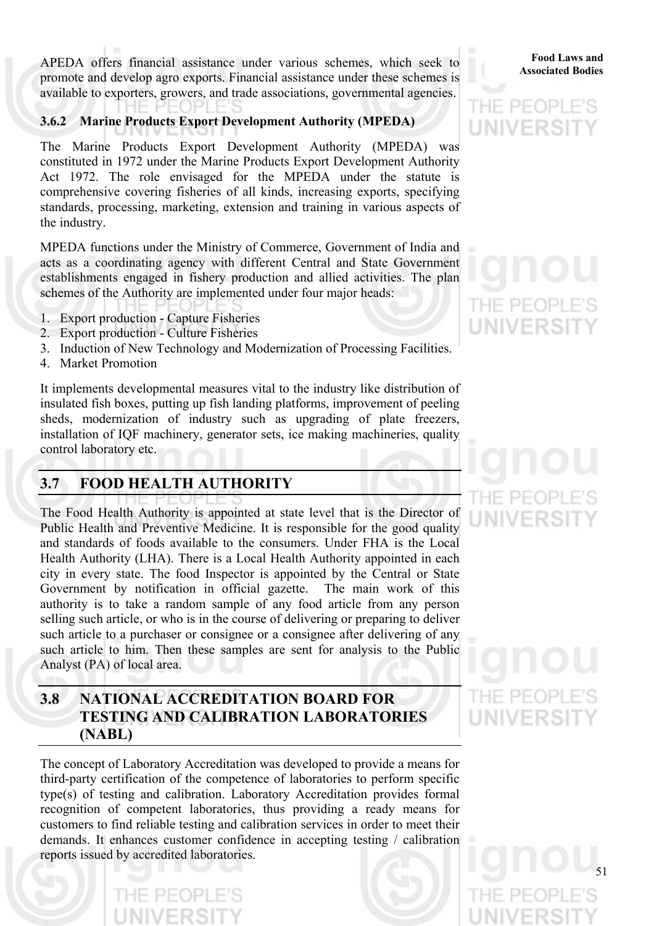**Associated Bodies** APEDA offers financial assistance under various schemes, which seek to promote and develop agro exports. Financial assistance under these schemes is available to exporters, growers, and trade associations, governmental agencies.

### **3.6.2 Marine Products Export Development Authority (MPEDA)**

The Marine Products Export Development Authority (MPEDA) was constituted in 1972 under the Marine Products Export Development Authority Act 1972. The role envisaged for the MPEDA under the statute is comprehensive covering fisheries of all kinds, increasing exports, specifying standards, processing, marketing, extension and training in various aspects of the industry.

MPEDA functions under the Ministry of Commerce, Government of India and acts as a coordinating agency with different Central and State Government establishments engaged in fishery production and allied activities. The plan schemes of the Authority are implemented under four major heads:

- 1. Export production Capture Fisheries
- 2. Export production Culture Fisheries
- 3. Induction of New Technology and Modernization of Processing Facilities.
- 4. Market Promotion

It implements developmental measures vital to the industry like distribution of insulated fish boxes, putting up fish landing platforms, improvement of peeling sheds, modernization of industry such as upgrading of plate freezers, installation of IQF machinery, generator sets, ice making machineries, quality control laboratory etc.

### **3.7 FOOD HEALTH AUTHORITY**

The Food Health Authority is appointed at state level that is the Director of Public Health and Preventive Medicine. It is responsible for the good quality and standards of foods available to the consumers. Under FHA is the Local Health Authority (LHA). There is a Local Health Authority appointed in each city in every state. The food Inspector is appointed by the Central or State Government by notification in official gazette. The main work of this authority is to take a random sample of any food article from any person selling such article, or who is in the course of delivering or preparing to deliver such article to a purchaser or consignee or a consignee after delivering of any such article to him. Then these samples are sent for analysis to the Public Analyst (PA) of local area.

### **3.8 NATIONAL ACCREDITATION BOARD FOR TESTING AND CALIBRATION LABORATORIES (NABL)**

The concept of Laboratory Accreditation was developed to provide a means for third-party certification of the competence of laboratories to perform specific type(s) of testing and calibration. Laboratory Accreditation provides formal recognition of competent laboratories, thus providing a ready means for customers to find reliable testing and calibration services in order to meet their demands. It enhances customer confidence in accepting testing / calibration reports issued by accredited laboratories.

**Food Laws and** 

### $PF($ UNIVERSI

# THE PEOP **UNIVERSIT**

# $PH$

THE PEOF UNIVERSI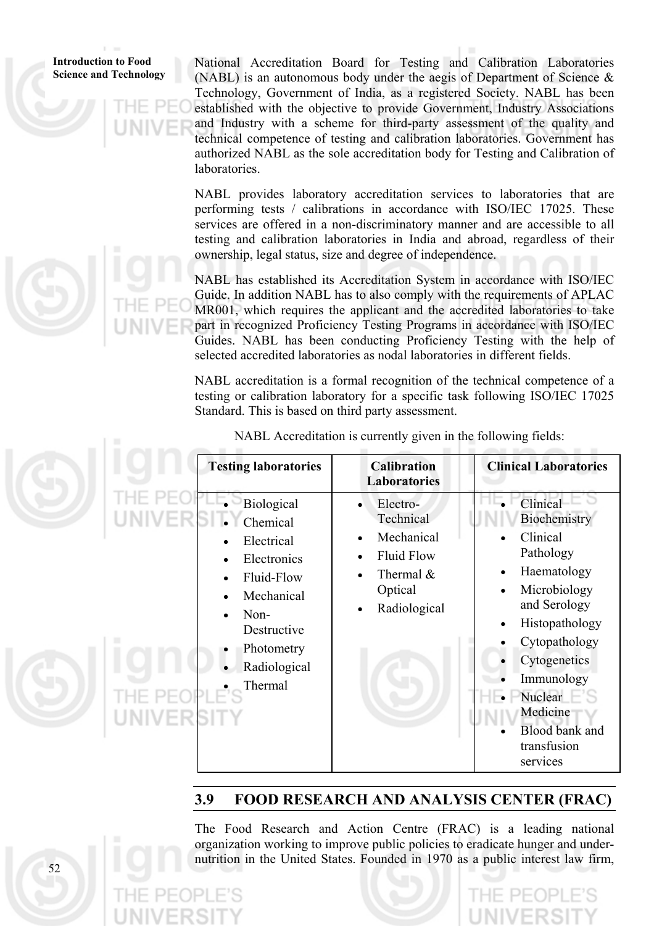National Accreditation Board for Testing and Calibration Laboratories (NABL) is an autonomous body under the aegis of Department of Science & Technology, Government of India, as a registered Society. NABL has been established with the objective to provide Government, Industry Associations and Industry with a scheme for third-party assessment of the quality and technical competence of testing and calibration laboratories. Government has authorized NABL as the sole accreditation body for Testing and Calibration of laboratories.

NABL provides laboratory accreditation services to laboratories that are performing tests / calibrations in accordance with ISO/IEC 17025. These services are offered in a non-discriminatory manner and are accessible to all testing and calibration laboratories in India and abroad, regardless of their ownership, legal status, size and degree of independence.

NABL has established its Accreditation System in accordance with ISO/IEC Guide. In addition NABL has to also comply with the requirements of APLAC MR001, which requires the applicant and the accredited laboratories to take part in recognized Proficiency Testing Programs in accordance with ISO/IEC Guides. NABL has been conducting Proficiency Testing with the help of selected accredited laboratories as nodal laboratories in different fields.

NABL accreditation is a formal recognition of the technical competence of a testing or calibration laboratory for a specific task following ISO/IEC 17025 Standard. This is based on third party assessment.

|                   | <b>Testing laboratories</b>                                                                                                                     | <b>Calibration</b><br><b>Laboratories</b>                                                                                                                            | <b>Clinical Laboratories</b>                                                                                                                                                                                                                 |
|-------------------|-------------------------------------------------------------------------------------------------------------------------------------------------|----------------------------------------------------------------------------------------------------------------------------------------------------------------------|----------------------------------------------------------------------------------------------------------------------------------------------------------------------------------------------------------------------------------------------|
| <b>UNIVERSITY</b> | Biological<br>Chemical<br>Electrical<br>Electronics<br>Fluid-Flow<br>Mechanical<br>Non-<br>Destructive<br>Photometry<br>Radiological<br>Thermal | Electro-<br>$\bullet$<br>Technical<br>Mechanical<br>$\bullet$<br><b>Fluid Flow</b><br>$\bullet$<br>Thermal $\&$<br>$\bullet$<br>Optical<br>Radiological<br>$\bullet$ | Clinical<br>Biochemistry<br>Clinical<br>Pathology<br>Haematology<br>Microbiology<br>and Serology<br>Histopathology<br>Cytopathology<br>Cytogenetics<br>Immunology<br>Nuclear<br>Medicine<br><b>Blood bank and</b><br>transfusion<br>services |

NABL Accreditation is currently given in the following fields:

### **3.9 FOOD RESEARCH AND ANALYSIS CENTER (FRAC)**

The Food Research and Action Centre (FRAC) is a leading national organization working to improve public policies to eradicate hunger and undernutrition in the United States. Founded in 1970 as a public interest law firm,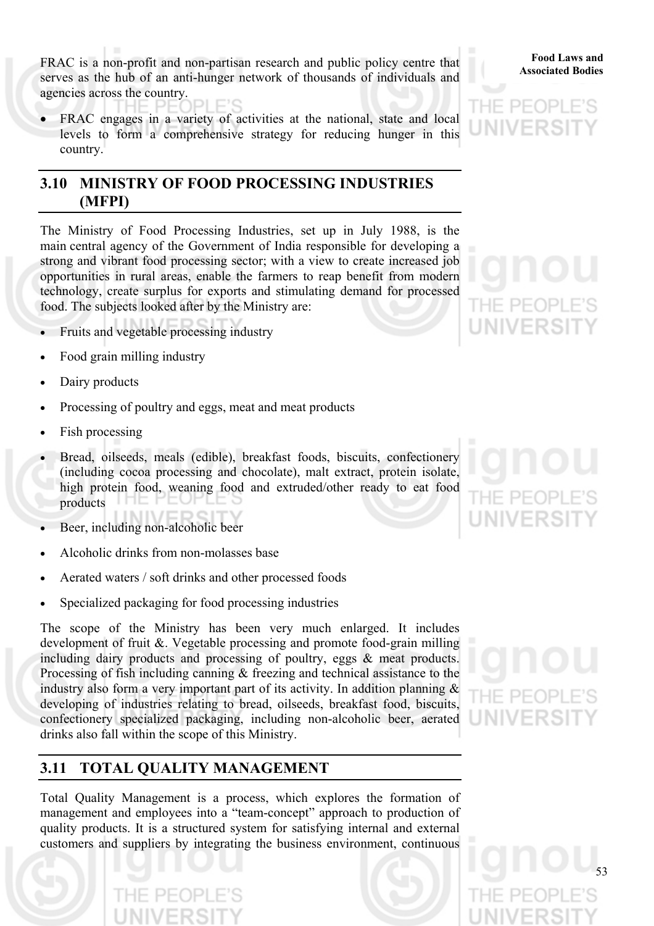FRAC is a non-profit and non-partisan research and public policy centre that **Food Laws** and **Associated Bodies** serves as the hub of an anti-hunger network of thousands of individuals and agencies across the country.

FRAC engages in a variety of activities at the national, state and local levels to form a comprehensive strategy for reducing hunger in this country.

### **3.10 MINISTRY OF FOOD PROCESSING INDUSTRIES (MFPI)**

The Ministry of Food Processing Industries, set up in July 1988, is the main central agency of the Government of India responsible for developing a strong and vibrant food processing sector; with a view to create increased job opportunities in rural areas, enable the farmers to reap benefit from modern technology, create surplus for exports and stimulating demand for processed food. The subjects looked after by the Ministry are:

- Fruits and vegetable processing industry
- Food grain milling industry
- Dairy products
- Processing of poultry and eggs, meat and meat products
- Fish processing
- Bread, oilseeds, meals (edible), breakfast foods, biscuits, confectionery (including cocoa processing and chocolate), malt extract, protein isolate, high protein food, weaning food and extruded/other ready to eat food products
- Beer, including non-alcoholic beer
- Alcoholic drinks from non-molasses base
- Aerated waters / soft drinks and other processed foods
- Specialized packaging for food processing industries

The scope of the Ministry has been very much enlarged. It includes development of fruit &. Vegetable processing and promote food-grain milling including dairy products and processing of poultry, eggs & meat products. Processing of fish including canning & freezing and technical assistance to the industry also form a very important part of its activity. In addition planning & developing of industries relating to bread, oilseeds, breakfast food, biscuits, confectionery specialized packaging, including non-alcoholic beer, aerated drinks also fall within the scope of this Ministry.

### **3.11 TOTAL QUALITY MANAGEMENT**

Total Quality Management is a process, which explores the formation of management and employees into a "team-concept" approach to production of quality products. It is a structured system for satisfying internal and external customers and suppliers by integrating the business environment, continuous

**Food Laws and** 



HE PE( **NIVERS**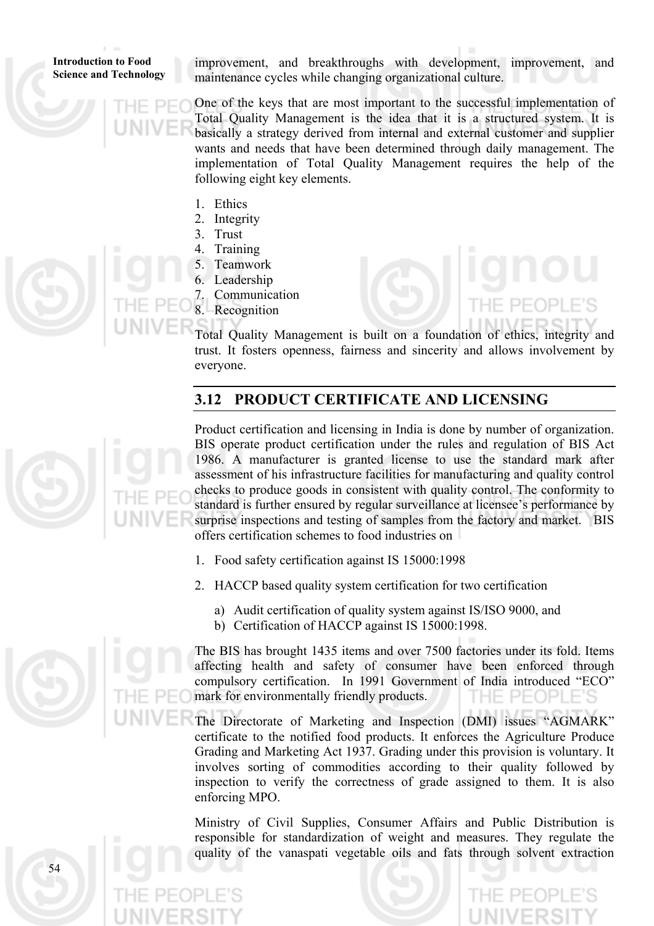improvement, and breakthroughs with development, improvement, and maintenance cycles while changing organizational culture.

One of the keys that are most important to the successful implementation of Total Quality Management is the idea that it is a structured system. It is basically a strategy derived from internal and external customer and supplier wants and needs that have been determined through daily management. The implementation of Total Quality Management requires the help of the following eight key elements.

- 1. Ethics
- 2. Integrity
- 3. Trust
- 4. Training
- 5. Teamwork 6. Leadership
- 7. Communication
- 8. Recognition

Total Quality Management is built on a foundation of ethics, integrity and trust. It fosters openness, fairness and sincerity and allows involvement by everyone.

### **3.12 PRODUCT CERTIFICATE AND LICENSING**



Product certification and licensing in India is done by number of organization. BIS operate product certification under the rules and regulation of BIS Act 1986. A manufacturer is granted license to use the standard mark after assessment of his infrastructure facilities for manufacturing and quality control checks to produce goods in consistent with quality control. The conformity to standard is further ensured by regular surveillance at licensee's performance by surprise inspections and testing of samples from the factory and market. BIS offers certification schemes to food industries on

1. Food safety certification against IS 15000:1998

2. HACCP based quality system certification for two certification

- a) Audit certification of quality system against IS/ISO 9000, and
- b) Certification of HACCP against IS 15000:1998.

The BIS has brought 1435 items and over 7500 factories under its fold. Items affecting health and safety of consumer have been enforced through compulsory certification. In 1991 Government of India introduced "ECO" mark for environmentally friendly products.

The Directorate of Marketing and Inspection (DMI) issues "AGMARK" certificate to the notified food products. It enforces the Agriculture Produce Grading and Marketing Act 1937. Grading under this provision is voluntary. It involves sorting of commodities according to their quality followed by inspection to verify the correctness of grade assigned to them. It is also enforcing MPO.

Ministry of Civil Supplies, Consumer Affairs and Public Distribution is responsible for standardization of weight and measures. They regulate the quality of the vanaspati vegetable oils and fats through solvent extraction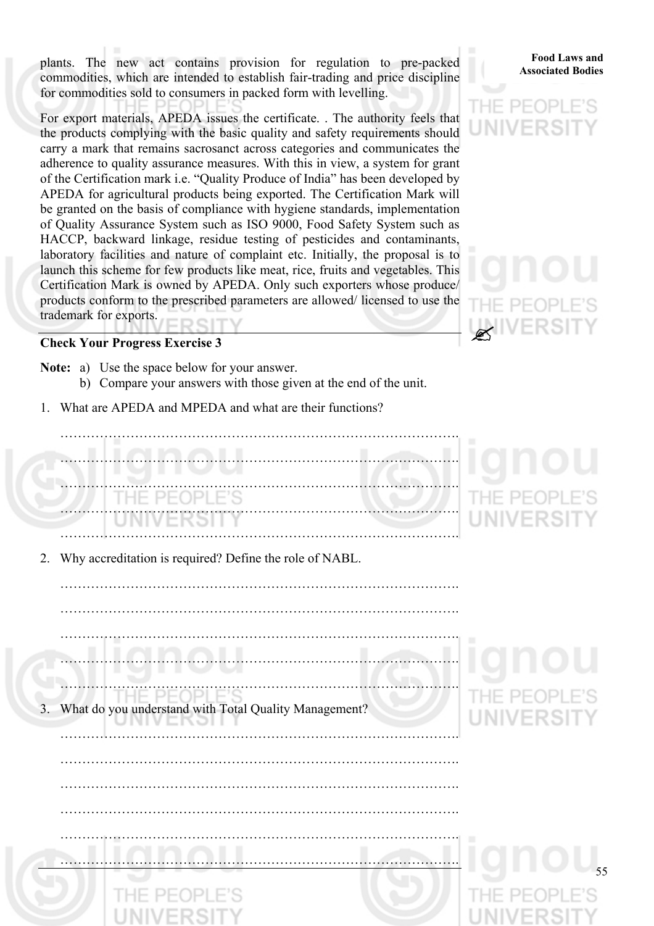plants. The new act contains provision for regulation to pre-packed **Food Laws and Associated Bodies** commodities, which are intended to establish fair-trading and price discipline for commodities sold to consumers in packed form with levelling.

For export materials, APEDA issues the certificate. . The authority feels that the products complying with the basic quality and safety requirements should carry a mark that remains sacrosanct across categories and communicates the adherence to quality assurance measures. With this in view, a system for grant of the Certification mark i.e. "Quality Produce of India" has been developed by APEDA for agricultural products being exported. The Certification Mark will be granted on the basis of compliance with hygiene standards, implementation of Quality Assurance System such as ISO 9000, Food Safety System such as HACCP, backward linkage, residue testing of pesticides and contaminants, laboratory facilities and nature of complaint etc. Initially, the proposal is to launch this scheme for few products like meat, rice, fruits and vegetables. This Certification Mark is owned by APEDA. Only such exporters whose produce/ products conform to the prescribed parameters are allowed/ licensed to use the trademark for exports.

### **Check Your Progress Exercise 3**

- **Note:** a) Use the space below for your answer. b) Compare your answers with those given at the end of the unit.
- 1. What are APEDA and MPEDA and what are their functions?

 ………………………………………………………………………………. ………………………………………………………………………………. ………………………………………………………………………………. ………………………………………………………………………………. ……………………………………………………………………………….

2. Why accreditation is required? Define the role of NABL.

 ………………………………………………………………………………. ………………………………………………………………………………. ………………………………………………………………………………. ……………………………………………………………………………….  $H = P F$  $|D|$ What do you understand with Total Quality Management? UNIVER l I G Z

……………………………………………………………………………….

……………………………………………………………………………….

……………………………………………………………………………….

……………………………………………………………………………….

……………………………………………………………………………….

……………………………………………………………………………….

### **Food Laws and**





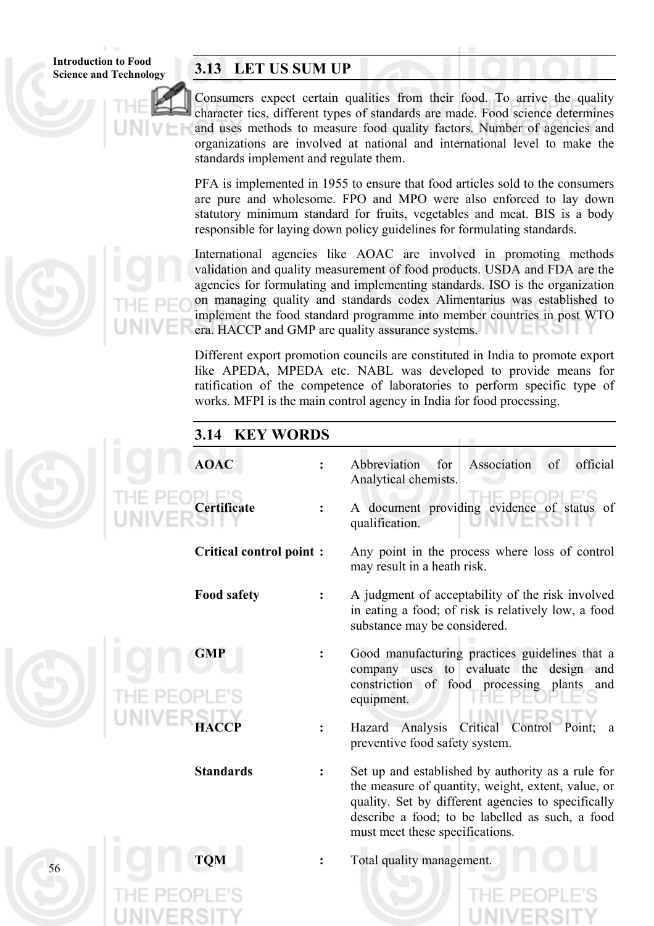**Introduction to Food** 

56

### **Science and Technology 3.13 LET US SUM UP**

Consumers expect certain qualities from their food. To arrive the quality character tics, different types of standards are made. Food science determines and uses methods to measure food quality factors. Number of agencies and organizations are involved at national and international level to make the standards implement and regulate them.

PFA is implemented in 1955 to ensure that food articles sold to the consumers are pure and wholesome. FPO and MPO were also enforced to lay down statutory minimum standard for fruits, vegetables and meat. BIS is a body responsible for laying down policy guidelines for formulating standards.

International agencies like AOAC are involved in promoting methods validation and quality measurement of food products. USDA and FDA are the agencies for formulating and implementing standards. ISO is the organization on managing quality and standards codex Alimentarius was established to implement the food standard programme into member countries in post WTO era. HACCP and GMP are quality assurance systems.

Different export promotion councils are constituted in India to promote export like APEDA, MPEDA etc. NABL was developed to provide means for ratification of the competence of laboratories to perform specific type of works. MFPI is the main control agency in India for food processing.

### **3.14 KEY WORDS**

| <b>AOAC</b>                    | Abbreviation<br>for<br>Association<br>official<br>of<br>Analytical chemists.                                                                                                                                                                        |
|--------------------------------|-----------------------------------------------------------------------------------------------------------------------------------------------------------------------------------------------------------------------------------------------------|
| Certificate                    | A document providing evidence of status of<br>qualification.                                                                                                                                                                                        |
| <b>Critical control point:</b> | Any point in the process where loss of control<br>may result in a heath risk.                                                                                                                                                                       |
| <b>Food safety</b>             | A judgment of acceptability of the risk involved<br>in eating a food; of risk is relatively low, a food<br>substance may be considered.                                                                                                             |
| <b>GMP</b>                     | Good manufacturing practices guidelines that a<br>company uses to evaluate the design and<br>constriction of food processing<br>plants<br>and<br>equipment.                                                                                         |
| НАССР                          | Analysis<br>Critical Control<br>Hazard<br>Point;<br>a<br>preventive food safety system.                                                                                                                                                             |
| <b>Standards</b>               | Set up and established by authority as a rule for<br>the measure of quantity, weight, extent, value, or<br>quality. Set by different agencies to specifically<br>describe a food; to be labelled as such, a food<br>must meet these specifications. |
| <b>TQM</b>                     | Total quality management.                                                                                                                                                                                                                           |
|                                |                                                                                                                                                                                                                                                     |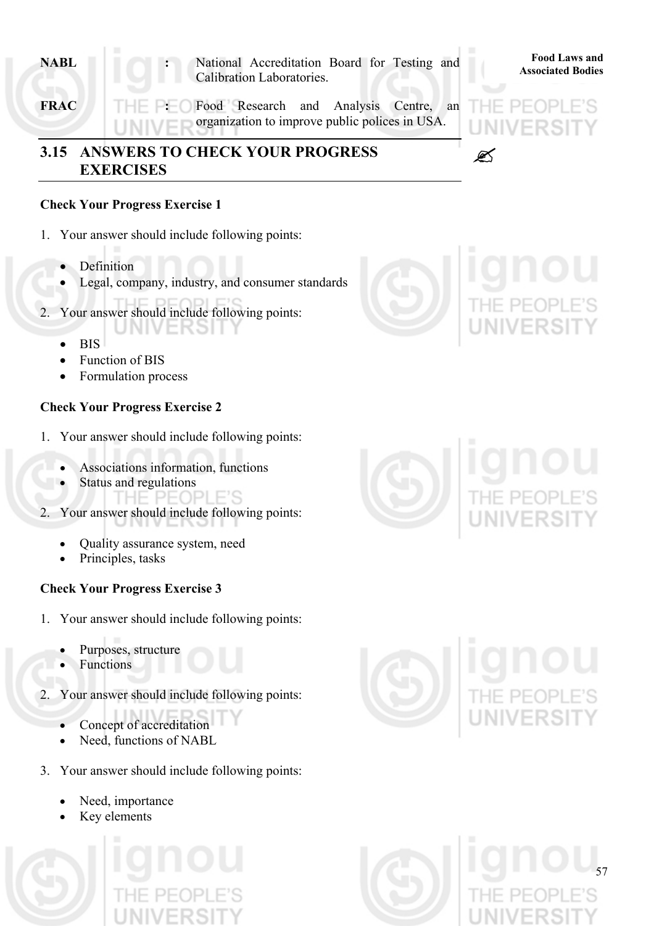- **ARBL** : National Accreditation Board for Testing and **Replaces Associated Bodies** Calibration Laboratories.
- **FRAC :** Food Research and Analysis Centre, an organization to improve public polices in USA.

### **3.15 ANSWERS TO CHECK YOUR PROGRESS** " **EXERCISES**

### **Check Your Progress Exercise 1**

- 1. Your answer should include following points:
	- Definition
	- Legal, company, industry, and consumer standards
- 2. Your answer should include following points:
	- BIS
	- Function of BIS
	- Formulation process

### **Check Your Progress Exercise 2**

- 1. Your answer should include following points:
	- Associations information, functions
	- Status and regulations
		- THE PEOPLE'S
- 2. Your answer should include following points:
	- Quality assurance system, need
	- Principles, tasks

### **Check Your Progress Exercise 3**

- 1. Your answer should include following points:
	- Purposes, structure
	- Functions
- 2. Your answer should include following points:
	- Concept of accreditation
	- Need, functions of NABL
- 3. Your answer should include following points:
	- Need, importance
	- Key elements











**Food Laws and**